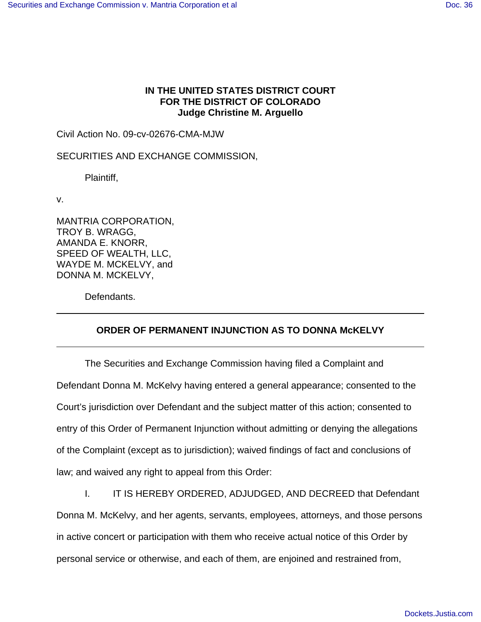## **IN THE UNITED STATES DISTRICT COURT FOR THE DISTRICT OF COLORADO Judge Christine M. Arguello**

Civil Action No. 09-cv-02676-CMA-MJW

SECURITIES AND EXCHANGE COMMISSION,

Plaintiff,

v.

MANTRIA CORPORATION, TROY B. WRAGG, AMANDA E. KNORR, SPEED OF WEALTH, LLC, WAYDE M. MCKELVY, and DONNA M. MCKELVY,

Defendants.

## **ORDER OF PERMANENT INJUNCTION AS TO DONNA McKELVY**

The Securities and Exchange Commission having filed a Complaint and Defendant Donna M. McKelvy having entered a general appearance; consented to the Court's jurisdiction over Defendant and the subject matter of this action; consented to entry of this Order of Permanent Injunction without admitting or denying the allegations of the Complaint (except as to jurisdiction); waived findings of fact and conclusions of law; and waived any right to appeal from this Order:

I. IT IS HEREBY ORDERED, ADJUDGED, AND DECREED that Defendant Donna M. McKelvy, and her agents, servants, employees, attorneys, and those persons in active concert or participation with them who receive actual notice of this Order by personal service or otherwise, and each of them, are enjoined and restrained from,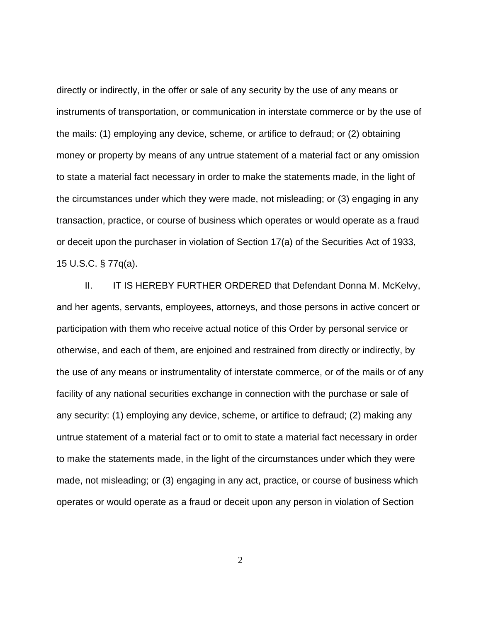directly or indirectly, in the offer or sale of any security by the use of any means or instruments of transportation, or communication in interstate commerce or by the use of the mails: (1) employing any device, scheme, or artifice to defraud; or (2) obtaining money or property by means of any untrue statement of a material fact or any omission to state a material fact necessary in order to make the statements made, in the light of the circumstances under which they were made, not misleading; or (3) engaging in any transaction, practice, or course of business which operates or would operate as a fraud or deceit upon the purchaser in violation of Section 17(a) of the Securities Act of 1933, 15 U.S.C. § 77q(a).

II. IT IS HEREBY FURTHER ORDERED that Defendant Donna M. McKelvy, and her agents, servants, employees, attorneys, and those persons in active concert or participation with them who receive actual notice of this Order by personal service or otherwise, and each of them, are enjoined and restrained from directly or indirectly, by the use of any means or instrumentality of interstate commerce, or of the mails or of any facility of any national securities exchange in connection with the purchase or sale of any security: (1) employing any device, scheme, or artifice to defraud; (2) making any untrue statement of a material fact or to omit to state a material fact necessary in order to make the statements made, in the light of the circumstances under which they were made, not misleading; or (3) engaging in any act, practice, or course of business which operates or would operate as a fraud or deceit upon any person in violation of Section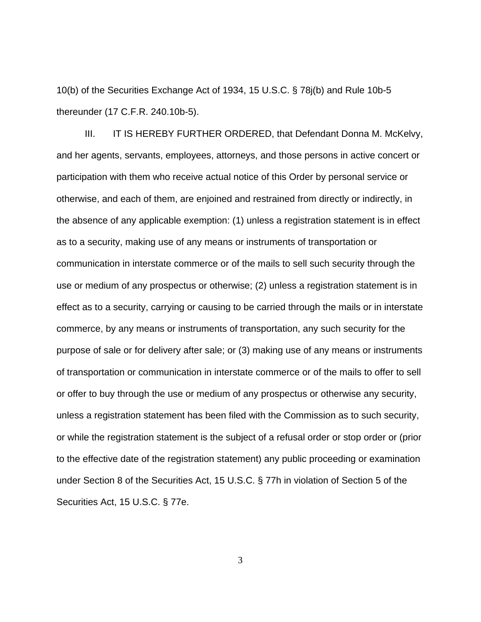10(b) of the Securities Exchange Act of 1934, 15 U.S.C. § 78j(b) and Rule 10b-5 thereunder (17 C.F.R. 240.10b-5).

III. IT IS HEREBY FURTHER ORDERED, that Defendant Donna M. McKelvy, and her agents, servants, employees, attorneys, and those persons in active concert or participation with them who receive actual notice of this Order by personal service or otherwise, and each of them, are enjoined and restrained from directly or indirectly, in the absence of any applicable exemption: (1) unless a registration statement is in effect as to a security, making use of any means or instruments of transportation or communication in interstate commerce or of the mails to sell such security through the use or medium of any prospectus or otherwise; (2) unless a registration statement is in effect as to a security, carrying or causing to be carried through the mails or in interstate commerce, by any means or instruments of transportation, any such security for the purpose of sale or for delivery after sale; or (3) making use of any means or instruments of transportation or communication in interstate commerce or of the mails to offer to sell or offer to buy through the use or medium of any prospectus or otherwise any security, unless a registration statement has been filed with the Commission as to such security, or while the registration statement is the subject of a refusal order or stop order or (prior to the effective date of the registration statement) any public proceeding or examination under Section 8 of the Securities Act, 15 U.S.C. § 77h in violation of Section 5 of the Securities Act, 15 U.S.C. § 77e.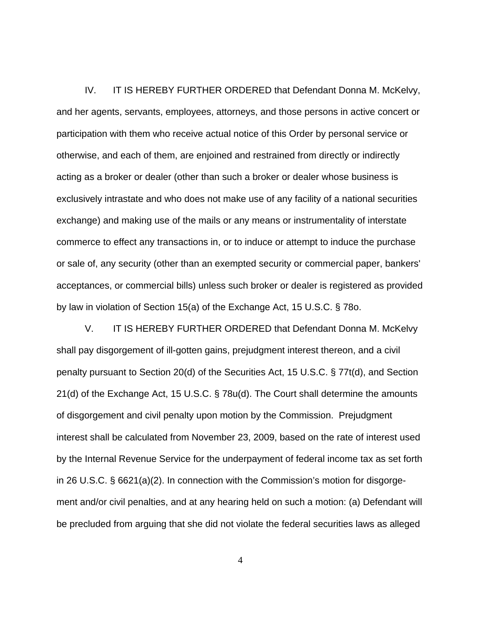IV. IT IS HEREBY FURTHER ORDERED that Defendant Donna M. McKelvy, and her agents, servants, employees, attorneys, and those persons in active concert or participation with them who receive actual notice of this Order by personal service or otherwise, and each of them, are enjoined and restrained from directly or indirectly acting as a broker or dealer (other than such a broker or dealer whose business is exclusively intrastate and who does not make use of any facility of a national securities exchange) and making use of the mails or any means or instrumentality of interstate commerce to effect any transactions in, or to induce or attempt to induce the purchase or sale of, any security (other than an exempted security or commercial paper, bankers' acceptances, or commercial bills) unless such broker or dealer is registered as provided by law in violation of Section 15(a) of the Exchange Act, 15 U.S.C. § 78o.

V. IT IS HEREBY FURTHER ORDERED that Defendant Donna M. McKelvy shall pay disgorgement of ill-gotten gains, prejudgment interest thereon, and a civil penalty pursuant to Section 20(d) of the Securities Act, 15 U.S.C. § 77t(d), and Section 21(d) of the Exchange Act, 15 U.S.C. § 78u(d). The Court shall determine the amounts of disgorgement and civil penalty upon motion by the Commission. Prejudgment interest shall be calculated from November 23, 2009, based on the rate of interest used by the Internal Revenue Service for the underpayment of federal income tax as set forth in 26 U.S.C. § 6621(a)(2). In connection with the Commission's motion for disgorgement and/or civil penalties, and at any hearing held on such a motion: (a) Defendant will be precluded from arguing that she did not violate the federal securities laws as alleged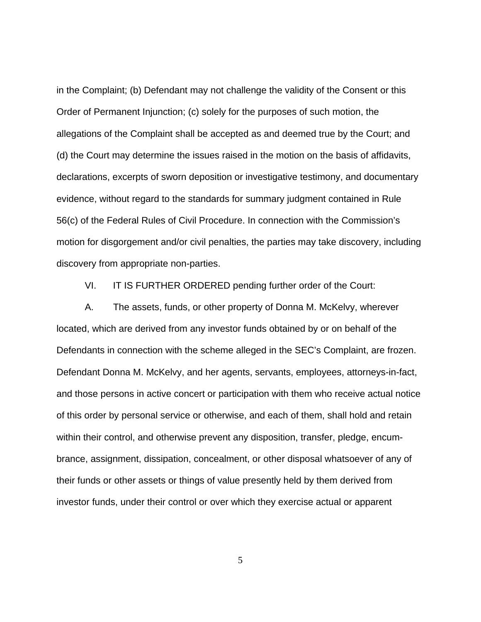in the Complaint; (b) Defendant may not challenge the validity of the Consent or this Order of Permanent Injunction; (c) solely for the purposes of such motion, the allegations of the Complaint shall be accepted as and deemed true by the Court; and (d) the Court may determine the issues raised in the motion on the basis of affidavits, declarations, excerpts of sworn deposition or investigative testimony, and documentary evidence, without regard to the standards for summary judgment contained in Rule 56(c) of the Federal Rules of Civil Procedure. In connection with the Commission's motion for disgorgement and/or civil penalties, the parties may take discovery, including discovery from appropriate non-parties.

VI. IT IS FURTHER ORDERED pending further order of the Court:

A. The assets, funds, or other property of Donna M. McKelvy, wherever located, which are derived from any investor funds obtained by or on behalf of the Defendants in connection with the scheme alleged in the SEC's Complaint, are frozen. Defendant Donna M. McKelvy, and her agents, servants, employees, attorneys-in-fact, and those persons in active concert or participation with them who receive actual notice of this order by personal service or otherwise, and each of them, shall hold and retain within their control, and otherwise prevent any disposition, transfer, pledge, encumbrance, assignment, dissipation, concealment, or other disposal whatsoever of any of their funds or other assets or things of value presently held by them derived from investor funds, under their control or over which they exercise actual or apparent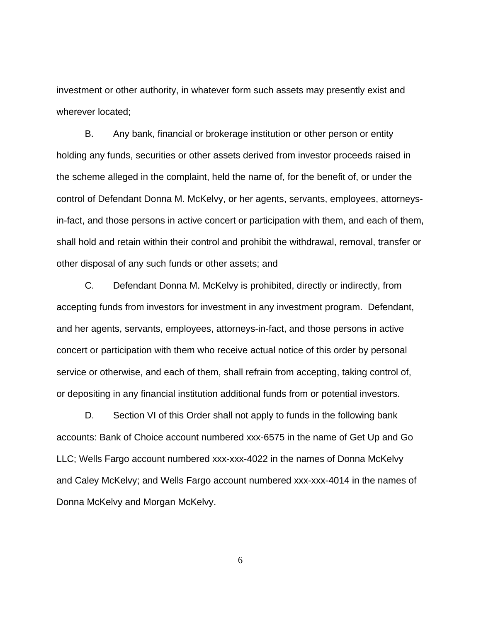investment or other authority, in whatever form such assets may presently exist and wherever located;

B. Any bank, financial or brokerage institution or other person or entity holding any funds, securities or other assets derived from investor proceeds raised in the scheme alleged in the complaint, held the name of, for the benefit of, or under the control of Defendant Donna M. McKelvy, or her agents, servants, employees, attorneysin-fact, and those persons in active concert or participation with them, and each of them, shall hold and retain within their control and prohibit the withdrawal, removal, transfer or other disposal of any such funds or other assets; and

C. Defendant Donna M. McKelvy is prohibited, directly or indirectly, from accepting funds from investors for investment in any investment program. Defendant, and her agents, servants, employees, attorneys-in-fact, and those persons in active concert or participation with them who receive actual notice of this order by personal service or otherwise, and each of them, shall refrain from accepting, taking control of, or depositing in any financial institution additional funds from or potential investors.

D. Section VI of this Order shall not apply to funds in the following bank accounts: Bank of Choice account numbered xxx-6575 in the name of Get Up and Go LLC; Wells Fargo account numbered xxx-xxx-4022 in the names of Donna McKelvy and Caley McKelvy; and Wells Fargo account numbered xxx-xxx-4014 in the names of Donna McKelvy and Morgan McKelvy.